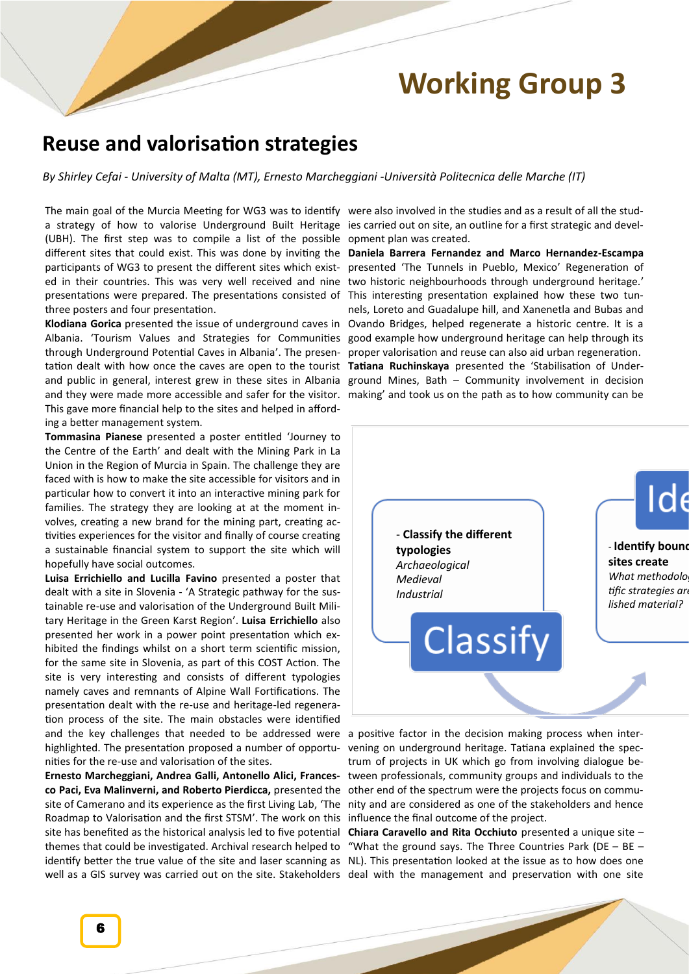## **Working Group 3**

## **Reuse and valorisation strategies**

*By Shirley Cefai - University of Malta (MT), Ernesto Marcheggiani -Università Politecnica delle Marche (IT)* 

a strategy of how to valorise Underground Built Heritage ies carried out on site, an outline for a first strategic and devel-(UBH). The first step was to compile a list of the possible opment plan was created. different sites that could exist. This was done by inviting the **Daniela Barrera Fernandez and Marco Hernandez-Escampa**  presentations were prepared. The presentations consisted of This interesting presentation explained how these two tunthree posters and four presentation.

through Underground Potential Caves in Albania'. The presen-proper valorisation and reuse can also aid urban regeneration. tation dealt with how once the caves are open to the tourist **Tatiana Ruchinskaya** presented the 'Stabilisation of Underand they were made more accessible and safer for the visitor. making' and took us on the path as to how community can be This gave more financial help to the sites and helped in affording a better management system.

**Tommasina Pianese** presented a poster entitled 'Journey to the Centre of the Earth' and dealt with the Mining Park in La Union in the Region of Murcia in Spain. The challenge they are faced with is how to make the site accessible for visitors and in particular how to convert it into an interactive mining park for families. The strategy they are looking at at the moment involves, creating a new brand for the mining part, creating activities experiences for the visitor and finally of course creating a sustainable financial system to support the site which will hopefully have social outcomes.

**Luisa Errichiello and Lucilla Favino** presented a poster that dealt with a site in Slovenia - 'A Strategic pathway for the sustainable re-use and valorisation of the Underground Built Military Heritage in the Green Karst Region'. **Luisa Errichiello** also presented her work in a power point presentation which exhibited the findings whilst on a short term scientific mission, for the same site in Slovenia, as part of this COST Action. The site is very interesting and consists of different typologies namely caves and remnants of Alpine Wall Fortifications. The presentation dealt with the re-use and heritage-led regeneration process of the site. The main obstacles were identified and the key challenges that needed to be addressed were a positive factor in the decision making process when interhighlighted. The presentation proposed a number of opportu- vening on underground heritage. Tatiana explained the specnities for the re-use and valorisation of the sites.

**Ernesto Marcheggiani, Andrea Galli, Antonello Alici, Frances-**tween professionals, community groups and individuals to the **co Paci, Eva Malinverni, and Roberto Pierdicca,** presented the other end of the spectrum were the projects focus on commusite of Camerano and its experience as the first Living Lab, 'The nity and are considered as one of the stakeholders and hence Roadmap to Valorisation and the first STSM'. The work on this influence the final outcome of the project. site has benefited as the historical analysis led to five potential **Chiara Caravello and Rita Occhiuto** presented a unique site – themes that could be investigated. Archival research helped to "What the ground says. The Three Countries Park (DE – BE – identify better the true value of the site and laser scanning as NL). This presentation looked at the issue as to how does one

The main goal of the Murcia Meeting for WG3 was to identify were also involved in the studies and as a result of all the stud-

participants of WG3 to present the different sites which exist-presented 'The Tunnels in Pueblo, Mexico' Regeneration of ed in their countries. This was very well received and nine two historic neighbourhoods through underground heritage.' **Klodiana Gorica** presented the issue of underground caves in Ovando Bridges, helped regenerate a historic centre. It is a Albania. 'Tourism Values and Strategies for Communities good example how underground heritage can help through its and public in general, interest grew in these sites in Albania ground Mines, Bath – Community involvement in decision nels, Loreto and Guadalupe hill, and Xanenetla and Bubas and



trum of projects in UK which go from involving dialogue be-

well as a GIS survey was carried out on the site. Stakeholders deal with the management and preservation with one site